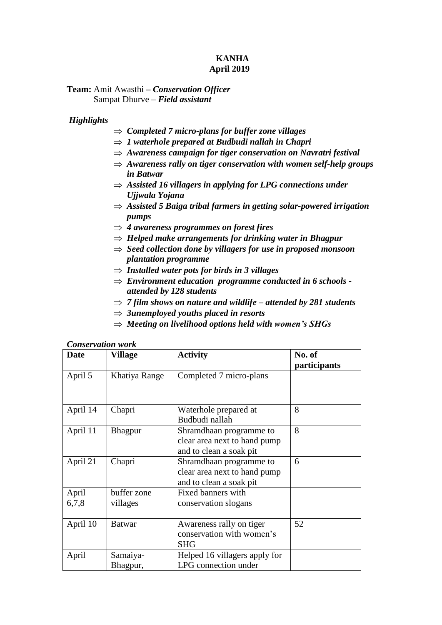### **KANHA April 2019**

**Team:** Amit Awasthi **–** *Conservation Officer* Sampat Dhurve – *Field assistant*

### *Highlights*

- *Completed 7 micro-plans for buffer zone villages*
- *1 waterhole prepared at Budbudi nallah in Chapri*
- *Awareness campaign for tiger conservation on Navratri festival*
- $\Rightarrow$  *Awareness rally on tiger conservation with women self-help groups in Batwar*
- $\Rightarrow$  Assisted 16 villagers in applying for LPG connections under *Ujjwala Yojana*
- *Assisted 5 Baiga tribal farmers in getting solar-powered irrigation pumps*
- *4 awareness programmes on forest fires*
- *Helped make arrangements for drinking water in Bhagpur*
- *Seed collection done by villagers for use in proposed monsoon plantation programme*
- $\Rightarrow$  *Installed water pots for birds in 3 villages*
- *Environment education programme conducted in 6 schools attended by 128 students*
- $\Rightarrow$  7 *film shows on nature and wildlife attended by 281 students*
- $\Rightarrow$  3unemployed youths placed in resorts
- *Meeting on livelihood options held with women's SHGs*

| <b>Date</b>    | Village                 | <b>Activity</b>                                                                    | No. of<br>participants |
|----------------|-------------------------|------------------------------------------------------------------------------------|------------------------|
| April 5        | Khatiya Range           | Completed 7 micro-plans                                                            |                        |
| April 14       | Chapri                  | Waterhole prepared at<br>Budbudi nallah                                            | 8                      |
| April 11       | <b>Bhagpur</b>          | Shramdhaan programme to<br>clear area next to hand pump<br>and to clean a soak pit | 8                      |
| April 21       | Chapri                  | Shramdhaan programme to<br>clear area next to hand pump<br>and to clean a soak pit | 6                      |
| April<br>6,7,8 | buffer zone<br>villages | Fixed banners with<br>conservation slogans                                         |                        |
| April 10       | Batwar                  | Awareness rally on tiger<br>conservation with women's<br><b>SHG</b>                | 52                     |
| April          | Samaiya-<br>Bhagpur,    | Helped 16 villagers apply for<br>LPG connection under                              |                        |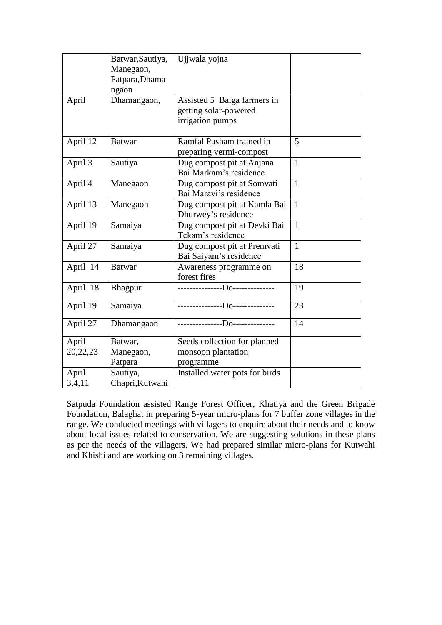|          | Batwar, Sautiya, | Ujiwala yojna                   |              |
|----------|------------------|---------------------------------|--------------|
|          | Manegaon,        |                                 |              |
|          | Patpara, Dhama   |                                 |              |
|          | ngaon            |                                 |              |
| April    | Dhamangaon,      | Assisted 5 Baiga farmers in     |              |
|          |                  | getting solar-powered           |              |
|          |                  | irrigation pumps                |              |
|          |                  |                                 |              |
| April 12 | <b>Batwar</b>    | Ramfal Pusham trained in        | 5            |
|          |                  | preparing vermi-compost         |              |
| April 3  | Sautiya          | Dug compost pit at Anjana       | $\mathbf{1}$ |
|          |                  | Bai Markam's residence          |              |
| April 4  | Manegaon         | Dug compost pit at Somvati      | $\mathbf{1}$ |
|          |                  | Bai Maravi's residence          |              |
| April 13 | Manegaon         | Dug compost pit at Kamla Bai    | $\mathbf{1}$ |
|          |                  | Dhurwey's residence             |              |
| April 19 | Samaiya          | Dug compost pit at Devki Bai    | $\mathbf{1}$ |
|          |                  | Tekam's residence               |              |
| April 27 | Samaiya          | Dug compost pit at Premvati     | $\mathbf{1}$ |
|          |                  | Bai Saiyam's residence          |              |
| April 14 | <b>Batwar</b>    | Awareness programme on          | 18           |
|          |                  | forest fires                    |              |
| April 18 | Bhagpur          | ---------------Do-------------- | 19           |
|          |                  |                                 |              |
| April 19 | Samaiya          | ---------------Do-------------  | 23           |
| April 27 | Dhamangaon       | ---------------Do-------------- | 14           |
|          |                  |                                 |              |
| April    | Batwar,          | Seeds collection for planned    |              |
| 20,22,23 | Manegaon,        | monsoon plantation              |              |
|          | Patpara          | programme                       |              |
| April    | Sautiya,         | Installed water pots for birds  |              |
| 3,4,11   | Chapri, Kutwahi  |                                 |              |

Satpuda Foundation assisted Range Forest Officer, Khatiya and the Green Brigade Foundation, Balaghat in preparing 5-year micro-plans for 7 buffer zone villages in the range. We conducted meetings with villagers to enquire about their needs and to know about local issues related to conservation. We are suggesting solutions in these plans as per the needs of the villagers. We had prepared similar micro-plans for Kutwahi and Khishi and are working on 3 remaining villages.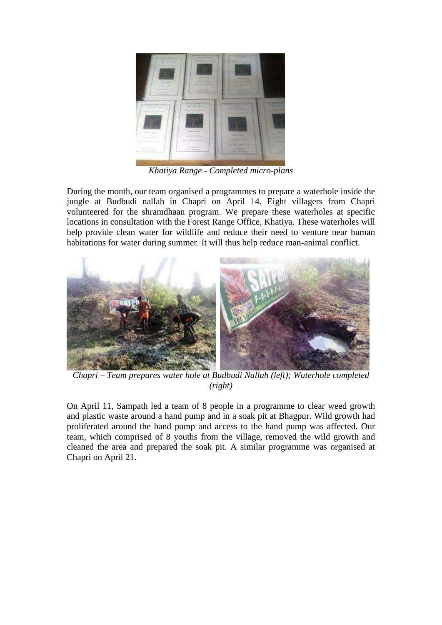

*Khatiya Range - Completed micro-plans*

During the month, our team organised a programmes to prepare a waterhole inside the jungle at Budbudi nallah in Chapri on April 14. Eight villagers from Chapri volunteered for the shramdhaan program. We prepare these waterholes at specific locations in consultation with the Forest Range Office, Khatiya. These waterholes will help provide clean water for wildlife and reduce their need to venture near human habitations for water during summer. It will thus help reduce man-animal conflict.



*Chapri – Team prepares water hole at Budbudi Nallah (left); Waterhole completed (right)*

On April 11, Sampath led a team of 8 people in a programme to clear weed growth and plastic waste around a hand pump and in a soak pit at Bhagpur. Wild growth had proliferated around the hand pump and access to the hand pump was affected. Our team, which comprised of 8 youths from the village, removed the wild growth and cleaned the area and prepared the soak pit. A similar programme was organised at Chapri on April 21.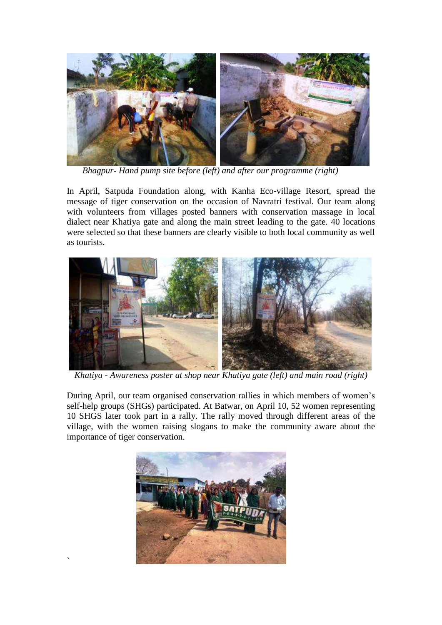

 *Bhagpur- Hand pump site before (left) and after our programme (right)*

In April, Satpuda Foundation along, with Kanha Eco-village Resort, spread the message of tiger conservation on the occasion of Navratri festival. Our team along with volunteers from villages posted banners with conservation massage in local dialect near Khatiya gate and along the main street leading to the gate. 40 locations were selected so that these banners are clearly visible to both local community as well as tourists.



*Khatiya - Awareness poster at shop near Khatiya gate (left) and main road (right)*

During April, our team organised conservation rallies in which members of women's self-help groups (SHGs) participated. At Batwar, on April 10, 52 women representing 10 SHGS later took part in a rally. The rally moved through different areas of the village, with the women raising slogans to make the community aware about the importance of tiger conservation.



`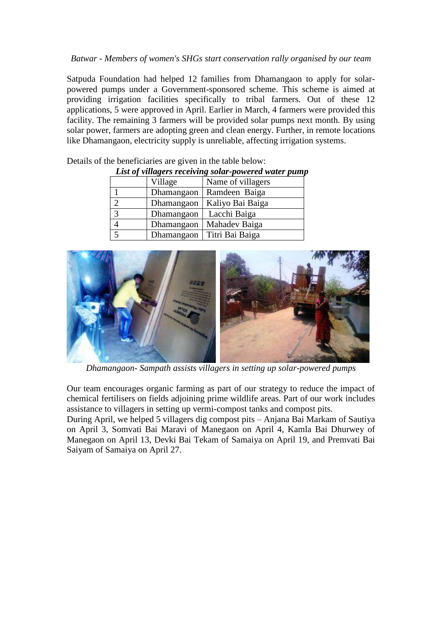## *Batwar - Members of women's SHGs start conservation rally organised by our team*

Satpuda Foundation had helped 12 families from Dhamangaon to apply for solarpowered pumps under a Government-sponsored scheme. This scheme is aimed at providing irrigation facilities specifically to tribal farmers. Out of these 12 applications, 5 were approved in April. Earlier in March, 4 farmers were provided this facility. The remaining 3 farmers will be provided solar pumps next month. By using solar power, farmers are adopting green and clean energy. Further, in remote locations like Dhamangaon, electricity supply is unreliable, affecting irrigation systems.

| List of villagers receiving solar-powered water pump |            |                   |  |  |
|------------------------------------------------------|------------|-------------------|--|--|
|                                                      | Village    | Name of villagers |  |  |
|                                                      | Dhamangaon | Ramdeen Baiga     |  |  |
| $\mathcal{D}$                                        | Dhamangaon | Kaliyo Bai Baiga  |  |  |
| 3                                                    | Dhamangaon | Lacchi Baiga      |  |  |
|                                                      | Dhamangaon | Mahadev Baiga     |  |  |
| 5                                                    | Dhamangaon | Titri Bai Baiga   |  |  |

Details of the beneficiaries are given in the table below:

## *List of villagers receiving solar-powered water pump*



*Dhamangaon- Sampath assists villagers in setting up solar-powered pumps*

Our team encourages organic farming as part of our strategy to reduce the impact of chemical fertilisers on fields adjoining prime wildlife areas. Part of our work includes assistance to villagers in setting up vermi-compost tanks and compost pits.

During April, we helped 5 villagers dig compost pits – Anjana Bai Markam of Sautiya on April 3, Somvati Bai Maravi of Manegaon on April 4, Kamla Bai Dhurwey of Manegaon on April 13, Devki Bai Tekam of Samaiya on April 19, and Premvati Bai Saiyam of Samaiya on April 27.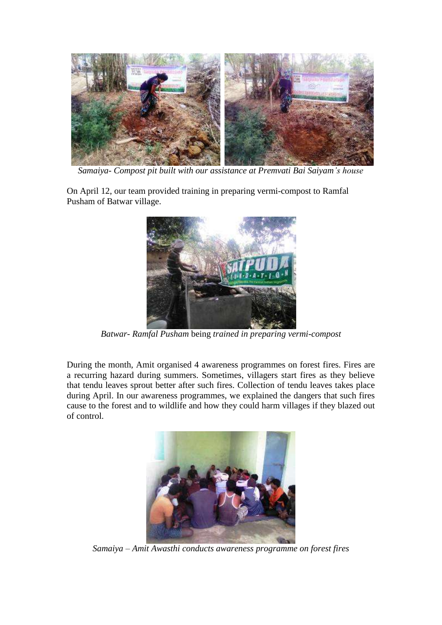

 *Samaiya- Compost pit built with our assistance at Premvati Bai Saiyam's house*

On April 12, our team provided training in preparing vermi-compost to Ramfal Pusham of Batwar village.



*Batwar- Ramfal Pusham* being *trained in preparing vermi-compost*

During the month, Amit organised 4 awareness programmes on forest fires. Fires are a recurring hazard during summers. Sometimes, villagers start fires as they believe that tendu leaves sprout better after such fires. Collection of tendu leaves takes place during April. In our awareness programmes, we explained the dangers that such fires cause to the forest and to wildlife and how they could harm villages if they blazed out of control.



*Samaiya – Amit Awasthi conducts awareness programme on forest fires*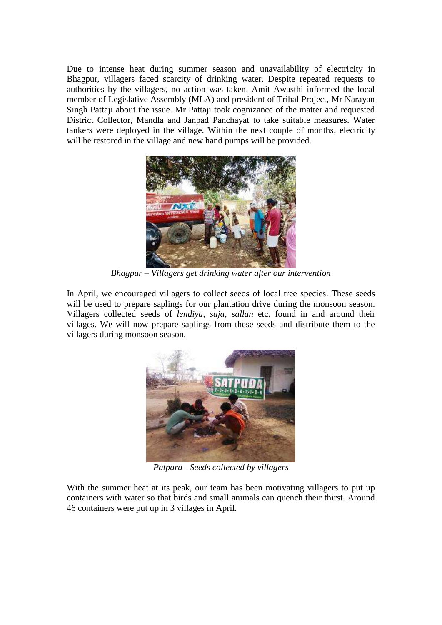Due to intense heat during summer season and unavailability of electricity in Bhagpur, villagers faced scarcity of drinking water. Despite repeated requests to authorities by the villagers, no action was taken. Amit Awasthi informed the local member of Legislative Assembly (MLA) and president of Tribal Project, Mr Narayan Singh Pattaji about the issue. Mr Pattaji took cognizance of the matter and requested District Collector, Mandla and Janpad Panchayat to take suitable measures. Water tankers were deployed in the village. Within the next couple of months, electricity will be restored in the village and new hand pumps will be provided.



*Bhagpur – Villagers get drinking water after our intervention*

In April, we encouraged villagers to collect seeds of local tree species. These seeds will be used to prepare saplings for our plantation drive during the monsoon season. Villagers collected seeds of *lendiya, saja, sallan* etc. found in and around their villages. We will now prepare saplings from these seeds and distribute them to the villagers during monsoon season.



*Patpara - Seeds collected by villagers*

With the summer heat at its peak, our team has been motivating villagers to put up containers with water so that birds and small animals can quench their thirst. Around 46 containers were put up in 3 villages in April.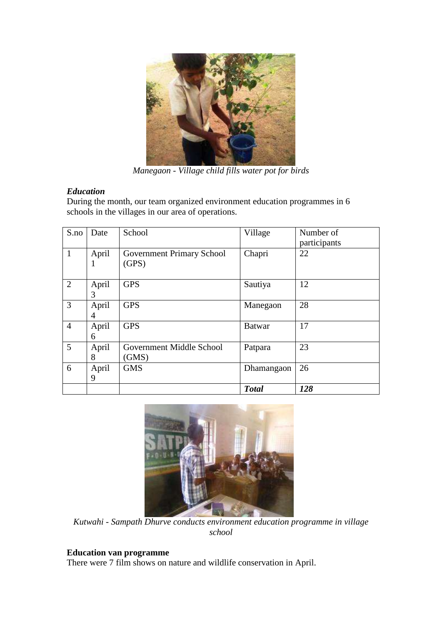

*Manegaon - Village child fills water pot for birds*

# *Education*

During the month, our team organized environment education programmes in 6 schools in the villages in our area of operations.

| S.no           | Date       | School                                    | Village       | Number of<br>participants |  |
|----------------|------------|-------------------------------------------|---------------|---------------------------|--|
| $\mathbf{1}$   | April<br>1 | <b>Government Primary School</b><br>(GPS) | Chapri        | 22                        |  |
| $\overline{2}$ | April<br>3 | <b>GPS</b>                                | Sautiya       | 12                        |  |
| 3              | April<br>4 | <b>GPS</b>                                | Manegaon      | 28                        |  |
| $\overline{4}$ | April<br>6 | <b>GPS</b>                                | <b>Batwar</b> | 17                        |  |
| 5              | April<br>8 | Government Middle School<br>(GMS)         | Patpara       | 23                        |  |
| 6              | April<br>9 | <b>GMS</b>                                | Dhamangaon    | 26                        |  |
|                |            |                                           | <b>Total</b>  | 128                       |  |



*Kutwahi - Sampath Dhurve conducts environment education programme in village school*

# **Education van programme**

There were 7 film shows on nature and wildlife conservation in April.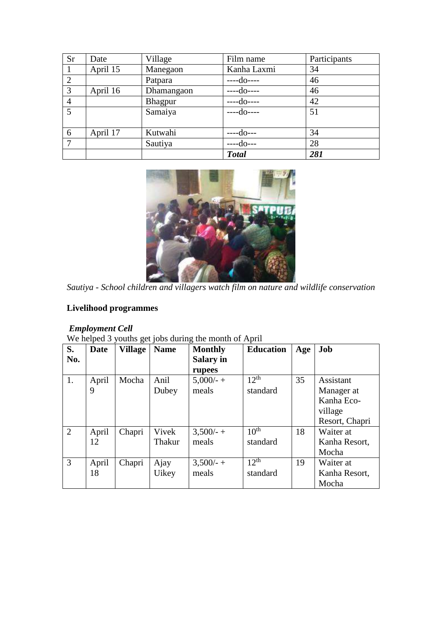| <b>Sr</b>      | Date     | Village    | Film name    | Participants |
|----------------|----------|------------|--------------|--------------|
|                | April 15 | Manegaon   | Kanha Laxmi  | 34           |
| 2              |          | Patpara    | $-c-do---$   | 46           |
| 3              | April 16 | Dhamangaon | $-do---$     | 46           |
| $\overline{4}$ |          | Bhagpur    | $-do---$     | 42           |
| $\overline{5}$ |          | Samaiya    | $-do---$     | 51           |
|                |          |            |              |              |
| 6              | April 17 | Kutwahi    | --do---      | 34           |
|                |          | Sautiya    | $-do--$      | 28           |
|                |          |            | <b>Total</b> | 281          |



*Sautiya - School children and villagers watch film on nature and wildlife conservation*

# **Livelihood programmes**

### *Employment Cell*

We helped 3 youths get jobs during the month of April

| S.             | <b>Date</b> | <b>Village</b> | <b>Name</b>  | <b>Monthly</b> | <b>Education</b> | Age | Job            |
|----------------|-------------|----------------|--------------|----------------|------------------|-----|----------------|
| No.            |             |                |              | Salary in      |                  |     |                |
|                |             |                |              | rupees         |                  |     |                |
| 1.             | April       | Mocha          | Anil         | $5,000/- +$    | $12^{th}$        | 35  | Assistant      |
|                | 9           |                | Dubey        | meals          | standard         |     | Manager at     |
|                |             |                |              |                |                  |     | Kanha Eco-     |
|                |             |                |              |                |                  |     | village        |
|                |             |                |              |                |                  |     | Resort, Chapri |
| $\overline{2}$ | April       | Chapri         | Vivek        | $3,500/ - +$   | 10 <sup>th</sup> | 18  | Waiter at      |
|                | 12          |                | Thakur       | meals          | standard         |     | Kanha Resort,  |
|                |             |                |              |                |                  |     | Mocha          |
| $\overline{3}$ | April       | Chapri         | Ajay         | $3,500/ - +$   | $12^{th}$        | 19  | Waiter at      |
|                | 18          |                | <b>Uikey</b> | meals          | standard         |     | Kanha Resort,  |
|                |             |                |              |                |                  |     | Mocha          |